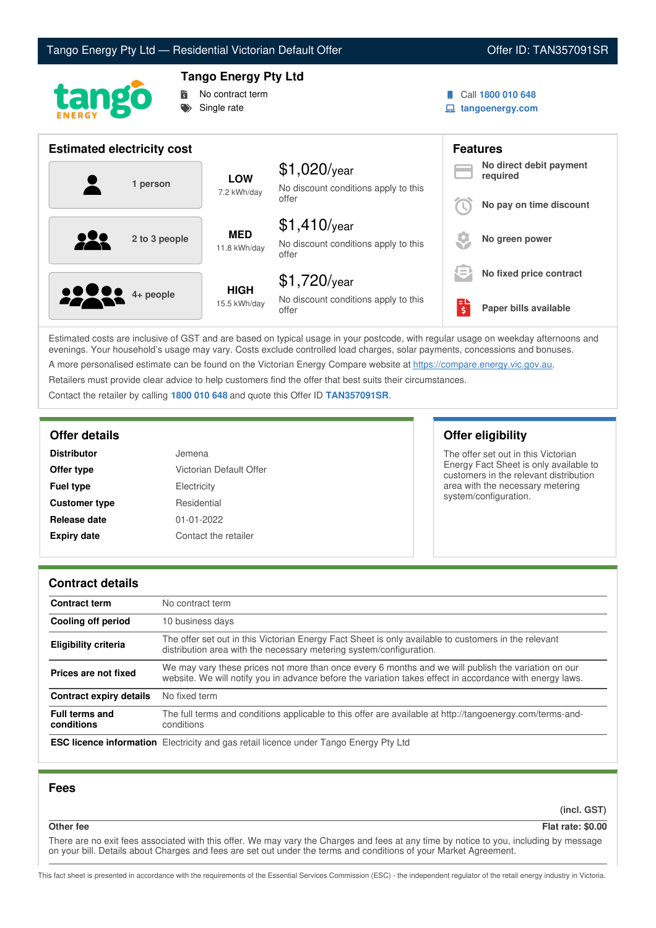



# **Tango Energy Pty Ltd**



Call **1800 010 648**

**tangoenergy.com**

| <b>Estimated electricity cost</b> |                             |                                                                 |    | <b>Features</b>                     |  |
|-----------------------------------|-----------------------------|-----------------------------------------------------------------|----|-------------------------------------|--|
| 1 person                          | <b>LOW</b><br>7.2 kWh/day   | $$1,020$ /year<br>No discount conditions apply to this          |    | No direct debit payment<br>required |  |
|                                   |                             | offer                                                           |    | No pay on time discount             |  |
| 222<br>2 to 3 people              | <b>MED</b><br>11.8 kWh/day  | $$1,410$ /year<br>No discount conditions apply to this<br>offer |    | No green power                      |  |
|                                   |                             | $$1,720$ /year                                                  | != | No fixed price contract             |  |
| <b>2000</b> 4+ people             | <b>HIGH</b><br>15.5 kWh/day | No discount conditions apply to this<br>offer                   | Ś  | Paper bills available               |  |

Estimated costs are inclusive of GST and are based on typical usage in your postcode, with regular usage on weekday afternoons and evenings. Your household's usage may vary. Costs exclude controlled load charges, solar payments, concessions and bonuses. A more personalised estimate can be found on the Victorian Energy Compare website at <https://compare.energy.vic.gov.au>.

Retailers must provide clear advice to help customers find the offer that best suits their circumstances.

Contact the retailer by calling **1800 010 648** and quote this Offer ID **TAN357091SR**.

| <b>Distributor</b>   | Jemena                  |
|----------------------|-------------------------|
| Offer type           | Victorian Default Offer |
| <b>Fuel type</b>     | Electricity             |
| <b>Customer type</b> | Residential             |
| Release date         | 01-01-2022              |
| <b>Expiry date</b>   | Contact the retailer    |

**Offer details Offer eligibility**

The offer set out in this Victorian Energy Fact Sheet is only available to customers in the relevant distribution area with the necessary metering system/configuration.

## **Contract details**

| <b>Contract term</b>                | No contract term                                                                                                                                                                                                |
|-------------------------------------|-----------------------------------------------------------------------------------------------------------------------------------------------------------------------------------------------------------------|
| <b>Cooling off period</b>           | 10 business days                                                                                                                                                                                                |
| <b>Eligibility criteria</b>         | The offer set out in this Victorian Energy Fact Sheet is only available to customers in the relevant<br>distribution area with the necessary metering system/configuration.                                     |
| Prices are not fixed                | We may vary these prices not more than once every 6 months and we will publish the variation on our<br>website. We will notify you in advance before the variation takes effect in accordance with energy laws. |
| Contract expiry details             | No fixed term                                                                                                                                                                                                   |
| <b>Full terms and</b><br>conditions | The full terms and conditions applicable to this offer are available at http://tangoenergy.com/terms-and-<br>conditions                                                                                         |
|                                     | <b>ESC licence information</b> Electricity and gas retail licence under Tango Energy Pty Ltd                                                                                                                    |

## **Fees**

**(incl. GST)**

#### **Other fee Flat rate: \$0.00**

There are no exit fees associated with this offer. We may vary the Charges and fees at any time by notice to you, including by message on your bill. Details about Charges and fees are set out under the terms and conditions of your Market Agreement.

This fact sheet is presented in accordance with the requirements of the Essential Services Commission (ESC) - the independent regulator of the retail energy industry in Victoria.